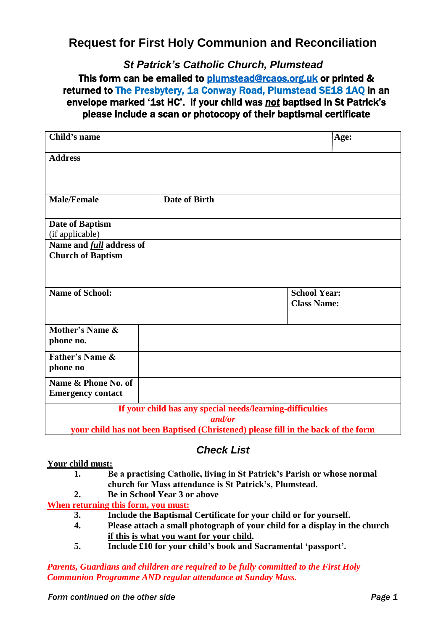## **Request for First Holy Communion and Reconciliation**

*St Patrick's Catholic Church, Plumstead*

## This form can be emailed to [plumstead@rcaos.org.uk](mailto:plumstead@rcaos.org.uk) or printed & returned to The Presbytery, 1a Conway Road, Plumstead SE18 1AQ in an envelope marked '1st HC'. If your child was *not* baptised in St Patrick's please include a scan or photocopy of their baptismal certificate

| Child's name                                                                                                                                             |               | Age:                                      |
|----------------------------------------------------------------------------------------------------------------------------------------------------------|---------------|-------------------------------------------|
| <b>Address</b>                                                                                                                                           |               |                                           |
| <b>Male/Female</b>                                                                                                                                       | Date of Birth |                                           |
| Date of Baptism<br>(if applicable)                                                                                                                       |               |                                           |
| Name and <i>full</i> address of<br><b>Church of Baptism</b>                                                                                              |               |                                           |
| <b>Name of School:</b>                                                                                                                                   |               | <b>School Year:</b><br><b>Class Name:</b> |
| Mother's Name &<br>phone no.                                                                                                                             |               |                                           |
| <b>Father's Name &amp;</b><br>phone no                                                                                                                   |               |                                           |
| Name & Phone No. of<br><b>Emergency contact</b>                                                                                                          |               |                                           |
| If your child has any special needs/learning-difficulties<br>and/or<br>your child has not been Baptised (Christened) please fill in the back of the form |               |                                           |

### *Check List*

#### **Your child must:**

- **1. Be a practising Catholic, living in St Patrick's Parish or whose normal church for Mass attendance is St Patrick's, Plumstead.**
- **2. Be in School Year 3 or above**

**When returning this form, you must:**

- **3. Include the Baptismal Certificate for your child or for yourself.**
- **4. Please attach a small photograph of your child for a display in the church if this is what you want for your child.**
- **5. Include £10 for your child's book and Sacramental 'passport'.**

*Parents, Guardians and children are required to be fully committed to the First Holy Communion Programme AND regular attendance at Sunday Mass.*